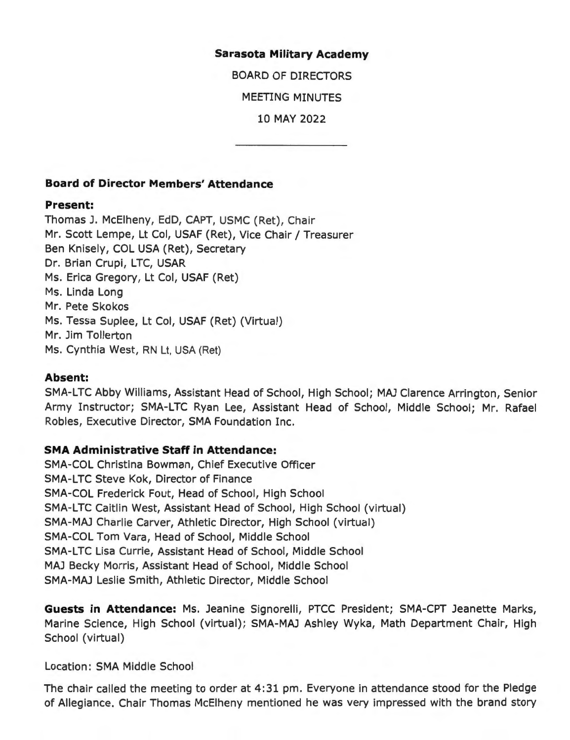#### **Sarasota Military Academy**

BOARD OF DIRECTORS

MEETING MINUTES

10 MAY 2022

## **Board of Director Members' Attendance**

#### **Present:**

Thomas J. McElheny, EdD, CAPT, USMC (Ret), Chair Mr. Scott Lempe, Lt Col, USAF (Ret), Vice Chair/ Treasurer Ben Knisely, COL USA (Ret), Secretary Dr. Brian Crupi, LTC, USAR Ms. Erica Gregory, Lt Col, USAF (Ret) Ms. Linda Long Mr. Pete Skokos Ms. Tessa Suplee, Lt Col, USAF (Ret) (Virtual) Mr. Jim Tollerton Ms. Cynthia West, RN Lt, USA (Ret)

## **Absent:**

SMA-LTC Abby Williams, Assistant Head of School, High School; MAJ Clarence Arrington, Senior Army Instructor; SMA-LTC Ryan Lee, Assistant Head of School, Middle School; Mr. Rafael Robles, Executive Director, SMA Foundation Inc.

## **SMA Administrative Staff in Attendance:**

SMA-COL Christina Bowman, Chief Executive Officer SMA-LTC Steve Kok, Director of Finance SMA-COL Frederick Fout, Head of School, High School SMA-LTC Caitlin West, Assistant Head of School, High School (virtual) SMA-MAJ Charlie Carver, Athletic Director, High School (virtual) SMA-COL Tom Vara, Head of School, Middle School SMA-LTC Lisa Currie, Assistant Head of School, Middle School MAJ Becky Morris, Assistant Head of School, Middle School **SMA-MAJ** Leslie Smith, Athletic Director, Middle School

**Guests in Attendance:** Ms. Jeanine Signorelli, PTCC President; SMA-CPT Jeanette Marks, Marine Science, High School (virtual); SMA-MAJ Ashley Wyka, Math Department Chair, High School (virtual)

Location: SMA Middle School

The chair called the meeting to order at 4:31 pm. Everyone in attendance stood for the Pledge of Allegiance. Chair Thomas McElheny mentioned he was very impressed with the brand story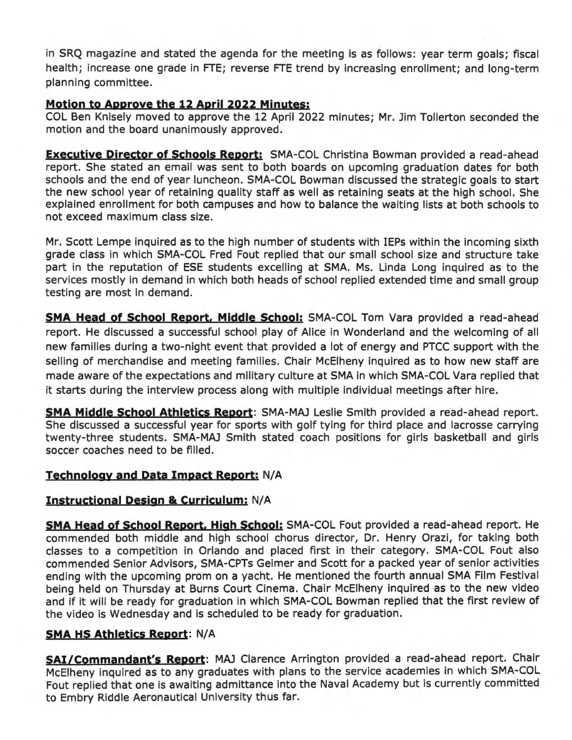in SRQ magazine and stated the agenda for the meeting is as follows: year term goals; fiscal health; increase one grade in FTE; reverse FTE trend by increasing enrollment; and long-term planning committee.

# **Motion to Approve the 12 April 2022 Minutes:**

COL Ben Knisely moved to approve the 12 April 2022 minutes; Mr. Jim Tollerton seconded the motion and the board unanimously approved.

**Executive Director of Schools Report:** SMA-COL Christina Bowman provided a read-ahead report. She stated an email was sent to both boards on upcoming graduation dates for both schools and the end of year luncheon. SMA-COL Bowman discussed the strategic goals to start the new school year of retaining quality staff as well as retaining seats at the high school. She explained enrollment for both campuses and how to balance the waiting lists at both schools to not exceed maximum class size.

Mr. Scott Lempe inquired as to the high number of students with IEPs within the incoming sixth grade class in which SMA-COL Fred Fout replied that our small school size and structure take part in the reputation of ESE students excelling at SMA. Ms. Linda Long inquired as to the services mostly in demand in which both heads of school replied extended time and small group testing are most in demand.

**SMA Head of School Report, Middle School:** SMA-COL Tom Vara provided a read-ahead report. He discussed a successful school play of Alice in Wonderland and the welcoming of all new families during a two-night event that provided a lot of energy and PTCC support with the selling of merchandise and meeting families. Chair McElheny inquired as to how new staff are made aware of the expectations and military culture at SMA in which SMA-COL Vara replied that it starts during the interview process along with multiple individual meetings after hire.

**SMA Middle School Athletics Report:** SMA-MAJ Leslie Smith provided a read-ahead report. She discussed a successful year for sports with golf tying for third place and lacrosse carrying twenty-three students. SMA-MAJ Smith stated coach positions for girls basketball and girls soccer coaches need to be filled.

# **Technology and Data Impact Report:** N/A

## **Instructional Design & Curriculum:** N/A

**SMA Head of School Report, High School:** SMA-COL Fout provided a read-ahead report. He commended both middle and high school chorus director, Dr. Henry Orazi, for taking both classes to a competition in Orlando and placed first in their category. SMA-COL Fout also commended Senior Advisors, SMA-CPTs Geimer and Scott for a packed year of senior activities ending with the upcoming prom on a yacht. He mentioned the fourth annual SMA Film Festival being held on Thursday at Burns Court Cinema. Chair McElheny inquired as to the new video and if it will be ready for graduation in which SMA-COL Bowman replied that the first review of the video is Wednesday and is scheduled to be ready for graduation.

## **SMA HS Athletics Report:** N/A

**SAi/Commandant's Report:** MAJ Clarence Arrington provided a read-ahead report. Chair McElheny inquired as to any graduates with plans to the service academies in which SMA-COL Fout replied that one is awaiting admittance into the Naval Academy but is currently committed to Embry Riddle Aeronautical University thus far.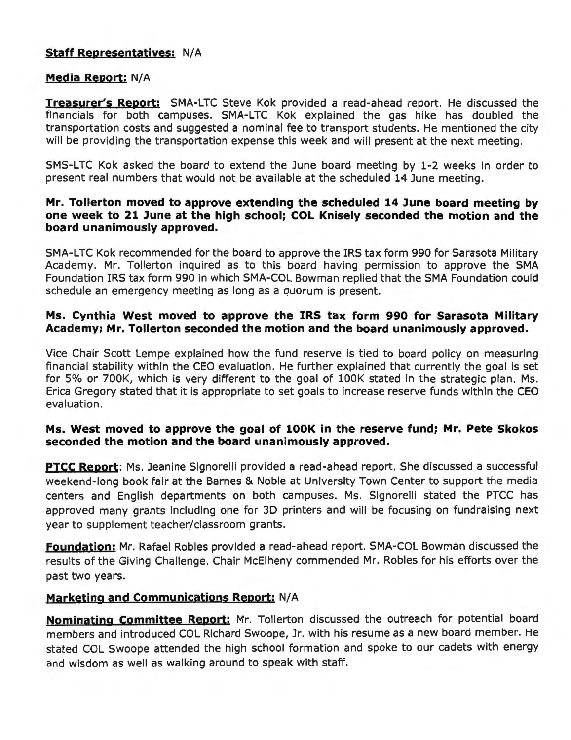## **Staff Representatives: N/A**

## **Media Report: N/A**

**Treasurer's Report:** SMA-LTC Steve Kok provided a read-ahead report. He discussed the financials for both campuses. SMA-LTC Kok explained the gas hike has doubled the transportation costs and suggested a nominal fee to transport students. He mentioned the city will be providing the transportation expense this week and will present at the next meeting.

SMS-LTC Kok asked the board to extend the June board meeting by 1-2 weeks in order to present real numbers that would not be available at the scheduled 14 June meeting.

#### **Mr. Tollerton moved to approve extending the scheduled 14 lune board meeting by one week to 21 June at the high school; COL Knisely seconded the motion and the board unanimously approved.**

SMA-LTC Kok recommended for the board to approve the IRS tax form 990 for Sarasota Military Academy. Mr. Tollerton inquired as to this board having permission to approve the SMA Foundation IRS tax form 990 in which SMA-COL Bowman replied that the SMA Foundation could schedule an emergency meeting as long as a quorum is present.

## **Ms. Cynthia West moved to approve the IRS tax form 990 for Sarasota Military Academy; Mr. Tollerton seconded the motion and the board unanimously approved.**

Vice Chair Scott Lempe explained how the fund reserve is tied to board policy on measuring financial stability within the CEO evaluation. He further explained that currently the goal is set for 5% or 700K, which is very different to the goal of l00K stated in the strategic plan. Ms. Erica Gregory stated that it is appropriate to set goals to increase reserve funds within the CEO evaluation.

## **Ms. West moved to approve the goal of 100K in the reserve fund; Mr. Pete Skokos seconded the motion and the board unanimously approved.**

**PTCC Report:** Ms. Jeanine Signorelli provided a read-ahead report. She discussed a successful weekend-long book fair at the Barnes & Noble at University Town Center to support the media centers and English departments on both campuses. Ms. Signorelli stated the PTCC has approved many grants including one for 3D printers and will be focusing on fundraising next year to supplement teacher/classroom grants.

**Foundation:** Mr. Rafael Robles provided a read-ahead report. SMA-COL Bowman discussed the results of the Giving Challenge. Chair McElheny commended Mr. Robles for his efforts over the past two years.

## **Marketing and Communications Report:** N/ A

**Nominating Committee Report:** Mr. Tollerton discussed the outreach for potential board members and introduced COL Richard Swoope, Jr. with his resume as a new board member. He stated COL Swoope attended the high school formation and spoke to our cadets with energy and wisdom as well as walking around to speak with staff.